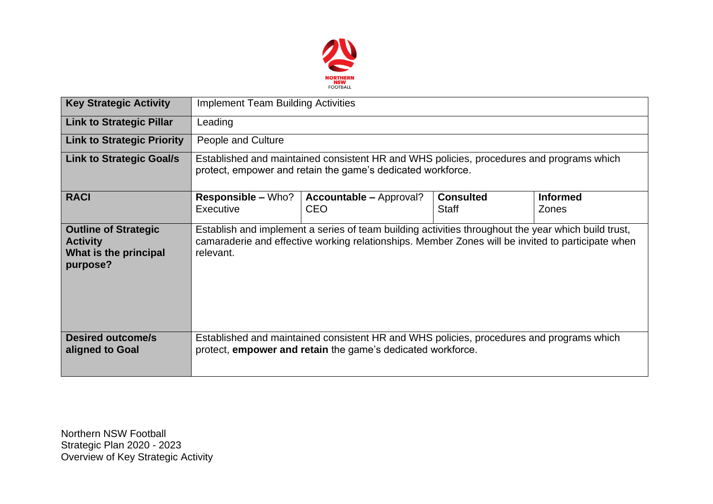

| <b>Key Strategic Activity</b>                                                       | <b>Implement Team Building Activities</b>                                                                                                                                                                             |                                              |                                  |                                 |  |  |  |  |
|-------------------------------------------------------------------------------------|-----------------------------------------------------------------------------------------------------------------------------------------------------------------------------------------------------------------------|----------------------------------------------|----------------------------------|---------------------------------|--|--|--|--|
| <b>Link to Strategic Pillar</b>                                                     | Leading                                                                                                                                                                                                               |                                              |                                  |                                 |  |  |  |  |
| <b>Link to Strategic Priority</b>                                                   | People and Culture                                                                                                                                                                                                    |                                              |                                  |                                 |  |  |  |  |
| <b>Link to Strategic Goal/s</b>                                                     | Established and maintained consistent HR and WHS policies, procedures and programs which<br>protect, empower and retain the game's dedicated workforce.                                                               |                                              |                                  |                                 |  |  |  |  |
| <b>RACI</b>                                                                         | <b>Responsible – Who?</b><br>Executive                                                                                                                                                                                | <b>Accountable – Approval?</b><br><b>CEO</b> | <b>Consulted</b><br><b>Staff</b> | <b>Informed</b><br><b>Zones</b> |  |  |  |  |
| <b>Outline of Strategic</b><br><b>Activity</b><br>What is the principal<br>purpose? | Establish and implement a series of team building activities throughout the year which build trust,<br>camaraderie and effective working relationships. Member Zones will be invited to participate when<br>relevant. |                                              |                                  |                                 |  |  |  |  |
| <b>Desired outcome/s</b><br>aligned to Goal                                         | Established and maintained consistent HR and WHS policies, procedures and programs which<br>protect, empower and retain the game's dedicated workforce.                                                               |                                              |                                  |                                 |  |  |  |  |